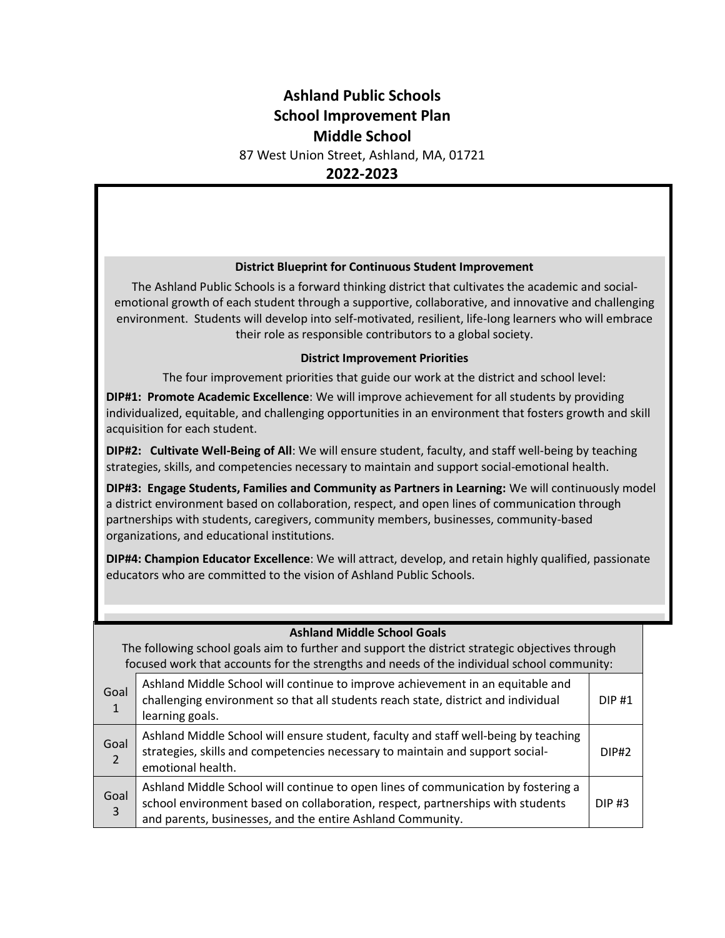# **Ashland Public Schools School Improvement Plan Middle School**

87 West Union Street, Ashland, MA, 01721

**2022-2023**

#### **District Blueprint for Continuous Student Improvement**

The Ashland Public Schools is a forward thinking district that cultivates the academic and socialemotional growth of each student through a supportive, collaborative, and innovative and challenging environment. Students will develop into self-motivated, resilient, life-long learners who will embrace their role as responsible contributors to a global society.

### **District Improvement Priorities**

The four improvement priorities that guide our work at the district and school level:

**DIP#1: Promote Academic Excellence**: We will improve achievement for all students by providing individualized, equitable, and challenging opportunities in an environment that fosters growth and skill acquisition for each student.

**DIP#2: Cultivate Well-Being of All**: We will ensure student, faculty, and staff well-being by teaching strategies, skills, and competencies necessary to maintain and support social-emotional health.

**DIP#3: Engage Students, Families and Community as Partners in Learning:** We will continuously model a district environment based on collaboration, respect, and open lines of communication through partnerships with students, caregivers, community members, businesses, community-based organizations, and educational institutions.

**DIP#4: Champion Educator Excellence**: We will attract, develop, and retain highly qualified, passionate educators who are committed to the vision of Ashland Public Schools.

| <b>Ashland Middle School Goals</b><br>The following school goals aim to further and support the district strategic objectives through<br>focused work that accounts for the strengths and needs of the individual school community: |                                                                                                                                                                                                                                   |          |  |
|-------------------------------------------------------------------------------------------------------------------------------------------------------------------------------------------------------------------------------------|-----------------------------------------------------------------------------------------------------------------------------------------------------------------------------------------------------------------------------------|----------|--|
| Goal<br>$\mathbf{1}$                                                                                                                                                                                                                | Ashland Middle School will continue to improve achievement in an equitable and<br>challenging environment so that all students reach state, district and individual<br>learning goals.                                            | $DIP$ #1 |  |
| Goal<br>$\overline{2}$                                                                                                                                                                                                              | Ashland Middle School will ensure student, faculty and staff well-being by teaching<br>strategies, skills and competencies necessary to maintain and support social-<br>emotional health.                                         | DIP#2    |  |
| Goal<br>$\mathbf{3}$                                                                                                                                                                                                                | Ashland Middle School will continue to open lines of communication by fostering a<br>school environment based on collaboration, respect, partnerships with students<br>and parents, businesses, and the entire Ashland Community. | $DIP$ #3 |  |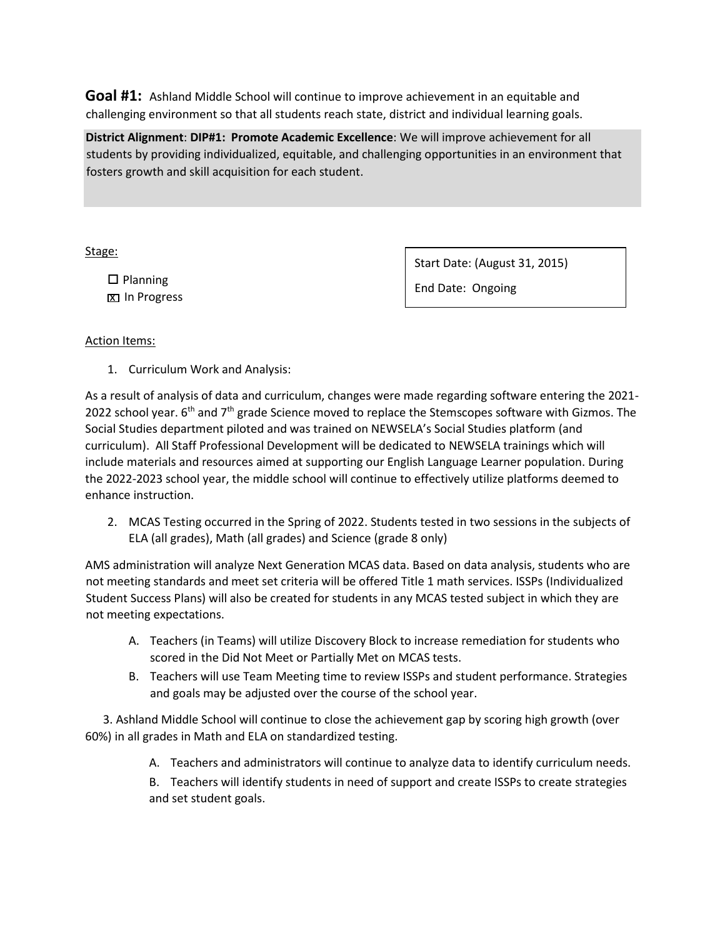**Goal #1:** Ashland Middle School will continue to improve achievement in an equitable and challenging environment so that all students reach state, district and individual learning goals.

**District Alignment**: **DIP#1: Promote Academic Excellence**: We will improve achievement for all students by providing individualized, equitable, and challenging opportunities in an environment that fosters growth and skill acquisition for each student.

Stage:

 $\square$  Planning **x** In Progress Start Date: (August 31, 2015)

End Date: Ongoing

### Action Items:

1. Curriculum Work and Analysis:

As a result of analysis of data and curriculum, changes were made regarding software entering the 2021- 2022 school year.  $6<sup>th</sup>$  and  $7<sup>th</sup>$  grade Science moved to replace the Stemscopes software with Gizmos. The Social Studies department piloted and was trained on NEWSELA's Social Studies platform (and curriculum). All Staff Professional Development will be dedicated to NEWSELA trainings which will include materials and resources aimed at supporting our English Language Learner population. During the 2022-2023 school year, the middle school will continue to effectively utilize platforms deemed to enhance instruction.

2. MCAS Testing occurred in the Spring of 2022. Students tested in two sessions in the subjects of ELA (all grades), Math (all grades) and Science (grade 8 only)

AMS administration will analyze Next Generation MCAS data. Based on data analysis, students who are not meeting standards and meet set criteria will be offered Title 1 math services. ISSPs (Individualized Student Success Plans) will also be created for students in any MCAS tested subject in which they are not meeting expectations.

- A. Teachers (in Teams) will utilize Discovery Block to increase remediation for students who scored in the Did Not Meet or Partially Met on MCAS tests.
- B. Teachers will use Team Meeting time to review ISSPs and student performance. Strategies and goals may be adjusted over the course of the school year.

 3. Ashland Middle School will continue to close the achievement gap by scoring high growth (over 60%) in all grades in Math and ELA on standardized testing.

A. Teachers and administrators will continue to analyze data to identify curriculum needs.

B. Teachers will identify students in need of support and create ISSPs to create strategies and set student goals.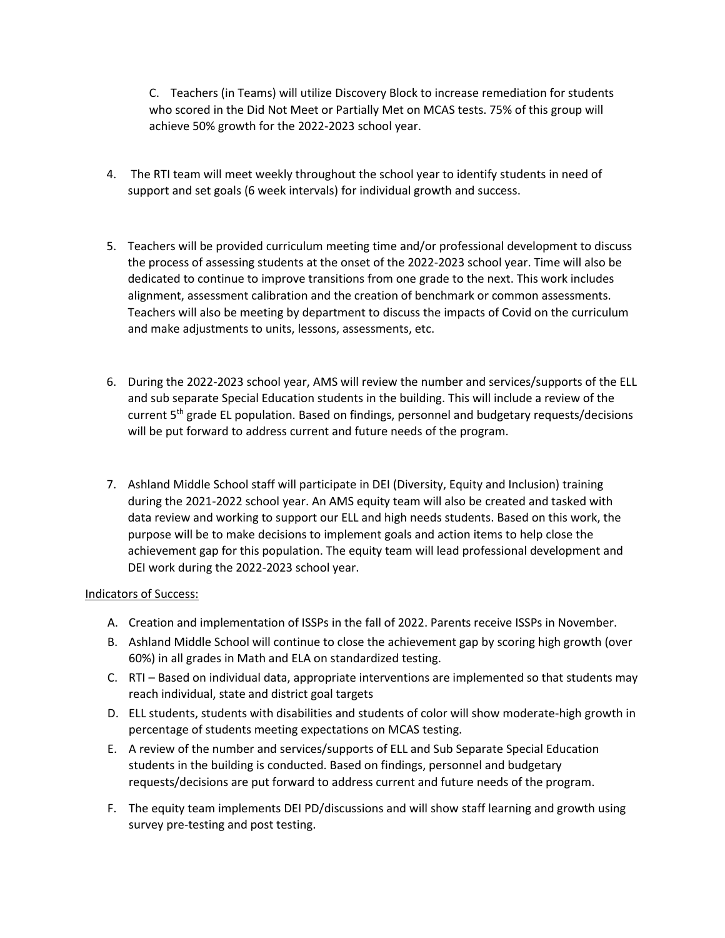C. Teachers (in Teams) will utilize Discovery Block to increase remediation for students who scored in the Did Not Meet or Partially Met on MCAS tests. 75% of this group will achieve 50% growth for the 2022-2023 school year.

- 4. The RTI team will meet weekly throughout the school year to identify students in need of support and set goals (6 week intervals) for individual growth and success.
- 5. Teachers will be provided curriculum meeting time and/or professional development to discuss the process of assessing students at the onset of the 2022-2023 school year. Time will also be dedicated to continue to improve transitions from one grade to the next. This work includes alignment, assessment calibration and the creation of benchmark or common assessments. Teachers will also be meeting by department to discuss the impacts of Covid on the curriculum and make adjustments to units, lessons, assessments, etc.
- 6. During the 2022-2023 school year, AMS will review the number and services/supports of the ELL and sub separate Special Education students in the building. This will include a review of the current 5<sup>th</sup> grade EL population. Based on findings, personnel and budgetary requests/decisions will be put forward to address current and future needs of the program.
- 7. Ashland Middle School staff will participate in DEI (Diversity, Equity and Inclusion) training during the 2021-2022 school year. An AMS equity team will also be created and tasked with data review and working to support our ELL and high needs students. Based on this work, the purpose will be to make decisions to implement goals and action items to help close the achievement gap for this population. The equity team will lead professional development and DEI work during the 2022-2023 school year.

### Indicators of Success:

- A. Creation and implementation of ISSPs in the fall of 2022. Parents receive ISSPs in November.
- B. Ashland Middle School will continue to close the achievement gap by scoring high growth (over 60%) in all grades in Math and ELA on standardized testing.
- C. RTI Based on individual data, appropriate interventions are implemented so that students may reach individual, state and district goal targets
- D. ELL students, students with disabilities and students of color will show moderate-high growth in percentage of students meeting expectations on MCAS testing.
- E. A review of the number and services/supports of ELL and Sub Separate Special Education students in the building is conducted. Based on findings, personnel and budgetary requests/decisions are put forward to address current and future needs of the program.
- F. The equity team implements DEI PD/discussions and will show staff learning and growth using survey pre-testing and post testing.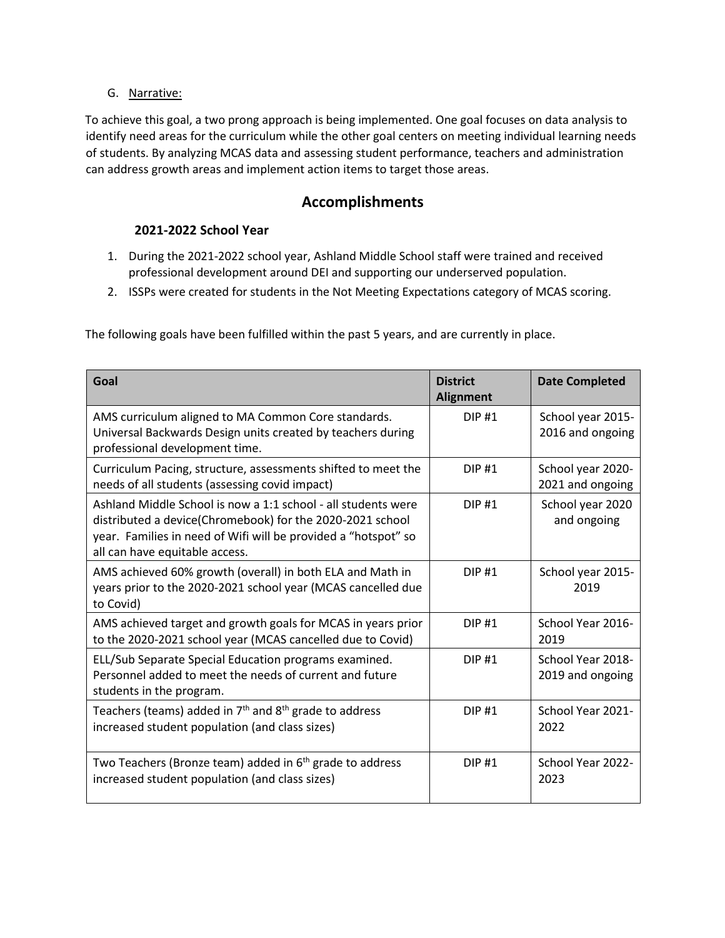### G. Narrative:

To achieve this goal, a two prong approach is being implemented. One goal focuses on data analysis to identify need areas for the curriculum while the other goal centers on meeting individual learning needs of students. By analyzing MCAS data and assessing student performance, teachers and administration can address growth areas and implement action items to target those areas.

## **Accomplishments**

### **2021-2022 School Year**

- 1. During the 2021-2022 school year, Ashland Middle School staff were trained and received professional development around DEI and supporting our underserved population.
- 2. ISSPs were created for students in the Not Meeting Expectations category of MCAS scoring.

The following goals have been fulfilled within the past 5 years, and are currently in place.

| Goal                                                                                                                                                                                                                           | <b>District</b><br><b>Alignment</b> | <b>Date Completed</b>                 |
|--------------------------------------------------------------------------------------------------------------------------------------------------------------------------------------------------------------------------------|-------------------------------------|---------------------------------------|
| AMS curriculum aligned to MA Common Core standards.<br>Universal Backwards Design units created by teachers during<br>professional development time.                                                                           | <b>DIP#1</b>                        | School year 2015-<br>2016 and ongoing |
| Curriculum Pacing, structure, assessments shifted to meet the<br>needs of all students (assessing covid impact)                                                                                                                | DIP#1                               | School year 2020-<br>2021 and ongoing |
| Ashland Middle School is now a 1:1 school - all students were<br>distributed a device(Chromebook) for the 2020-2021 school<br>year. Families in need of Wifi will be provided a "hotspot" so<br>all can have equitable access. | DIP#1                               | School year 2020<br>and ongoing       |
| AMS achieved 60% growth (overall) in both ELA and Math in<br>years prior to the 2020-2021 school year (MCAS cancelled due<br>to Covid)                                                                                         | $DIP$ #1                            | School year 2015-<br>2019             |
| AMS achieved target and growth goals for MCAS in years prior<br>to the 2020-2021 school year (MCAS cancelled due to Covid)                                                                                                     | <b>DIP#1</b>                        | School Year 2016-<br>2019             |
| ELL/Sub Separate Special Education programs examined.<br>Personnel added to meet the needs of current and future<br>students in the program.                                                                                   | $DIP$ #1                            | School Year 2018-<br>2019 and ongoing |
| Teachers (teams) added in 7 <sup>th</sup> and 8 <sup>th</sup> grade to address<br>increased student population (and class sizes)                                                                                               | DIP#1                               | School Year 2021-<br>2022             |
| Two Teachers (Bronze team) added in 6 <sup>th</sup> grade to address<br>increased student population (and class sizes)                                                                                                         | <b>DIP#1</b>                        | School Year 2022-<br>2023             |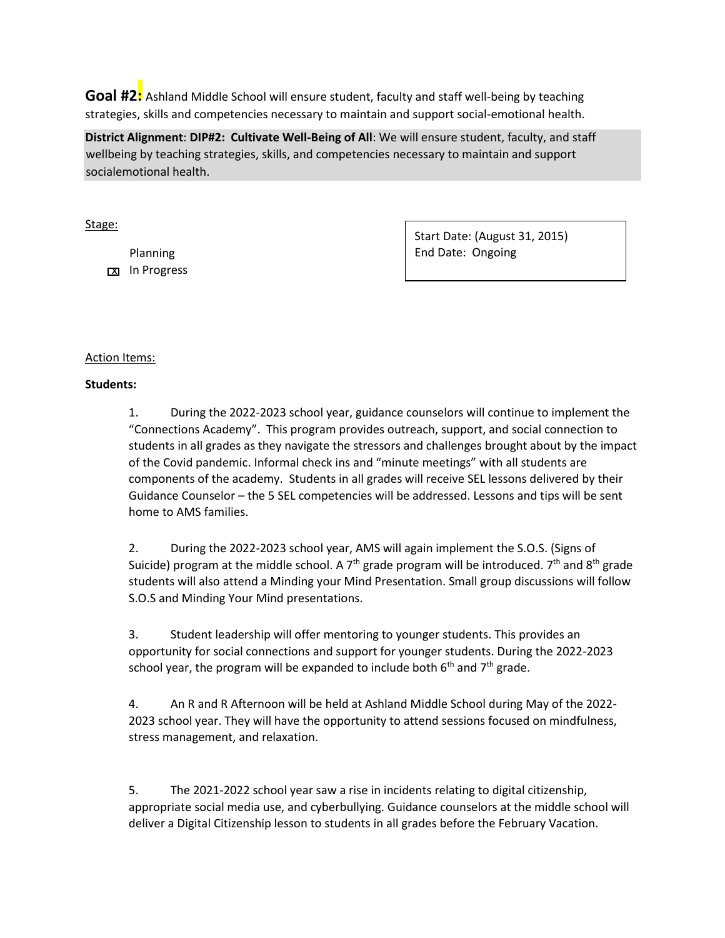**Goal #2:** Ashland Middle School will ensure student, faculty and staff well-being by teaching strategies, skills and competencies necessary to maintain and support social-emotional health.

**District Alignment**: **DIP#2: Cultivate Well-Being of All**: We will ensure student, faculty, and staff wellbeing by teaching strategies, skills, and competencies necessary to maintain and support socialemotional health.

Stage:

 Planning **X** In Progress Start Date: (August 31, 2015) End Date: Ongoing

### Action Items:

### **Students:**

1. During the 2022-2023 school year, guidance counselors will continue to implement the "Connections Academy". This program provides outreach, support, and social connection to students in all grades as they navigate the stressors and challenges brought about by the impact of the Covid pandemic. Informal check ins and "minute meetings" with all students are components of the academy. Students in all grades will receive SEL lessons delivered by their Guidance Counselor – the 5 SEL competencies will be addressed. Lessons and tips will be sent home to AMS families.

2. During the 2022-2023 school year, AMS will again implement the S.O.S. (Signs of Suicide) program at the middle school. A 7<sup>th</sup> grade program will be introduced. 7<sup>th</sup> and 8<sup>th</sup> grade students will also attend a Minding your Mind Presentation. Small group discussions will follow S.O.S and Minding Your Mind presentations.

3. Student leadership will offer mentoring to younger students. This provides an opportunity for social connections and support for younger students. During the 2022-2023 school year, the program will be expanded to include both  $6<sup>th</sup>$  and  $7<sup>th</sup>$  grade.

4. An R and R Afternoon will be held at Ashland Middle School during May of the 2022- 2023 school year. They will have the opportunity to attend sessions focused on mindfulness, stress management, and relaxation.

5. The 2021-2022 school year saw a rise in incidents relating to digital citizenship, appropriate social media use, and cyberbullying. Guidance counselors at the middle school will deliver a Digital Citizenship lesson to students in all grades before the February Vacation.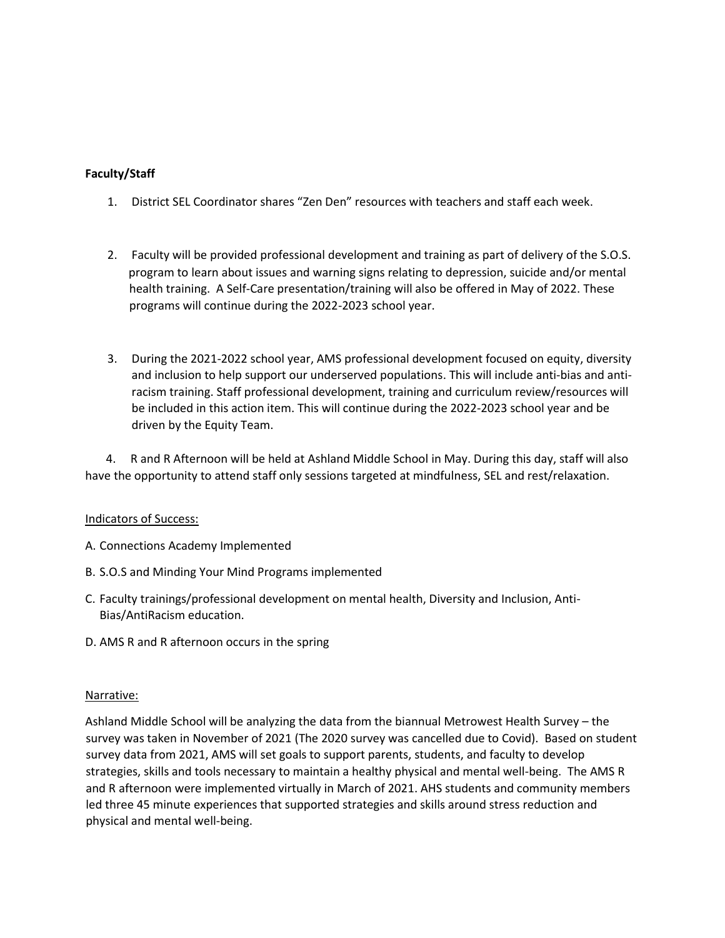### **Faculty/Staff**

- 1. District SEL Coordinator shares "Zen Den" resources with teachers and staff each week.
- 2. Faculty will be provided professional development and training as part of delivery of the S.O.S. program to learn about issues and warning signs relating to depression, suicide and/or mental health training. A Self-Care presentation/training will also be offered in May of 2022. These programs will continue during the 2022-2023 school year.
- 3. During the 2021-2022 school year, AMS professional development focused on equity, diversity and inclusion to help support our underserved populations. This will include anti-bias and antiracism training. Staff professional development, training and curriculum review/resources will be included in this action item. This will continue during the 2022-2023 school year and be driven by the Equity Team.

 4. R and R Afternoon will be held at Ashland Middle School in May. During this day, staff will also have the opportunity to attend staff only sessions targeted at mindfulness, SEL and rest/relaxation.

### Indicators of Success:

- A. Connections Academy Implemented
- B. S.O.S and Minding Your Mind Programs implemented
- C. Faculty trainings/professional development on mental health, Diversity and Inclusion, Anti-Bias/AntiRacism education.
- D. AMS R and R afternoon occurs in the spring

#### Narrative:

Ashland Middle School will be analyzing the data from the biannual Metrowest Health Survey – the survey was taken in November of 2021 (The 2020 survey was cancelled due to Covid). Based on student survey data from 2021, AMS will set goals to support parents, students, and faculty to develop strategies, skills and tools necessary to maintain a healthy physical and mental well-being. The AMS R and R afternoon were implemented virtually in March of 2021. AHS students and community members led three 45 minute experiences that supported strategies and skills around stress reduction and physical and mental well-being.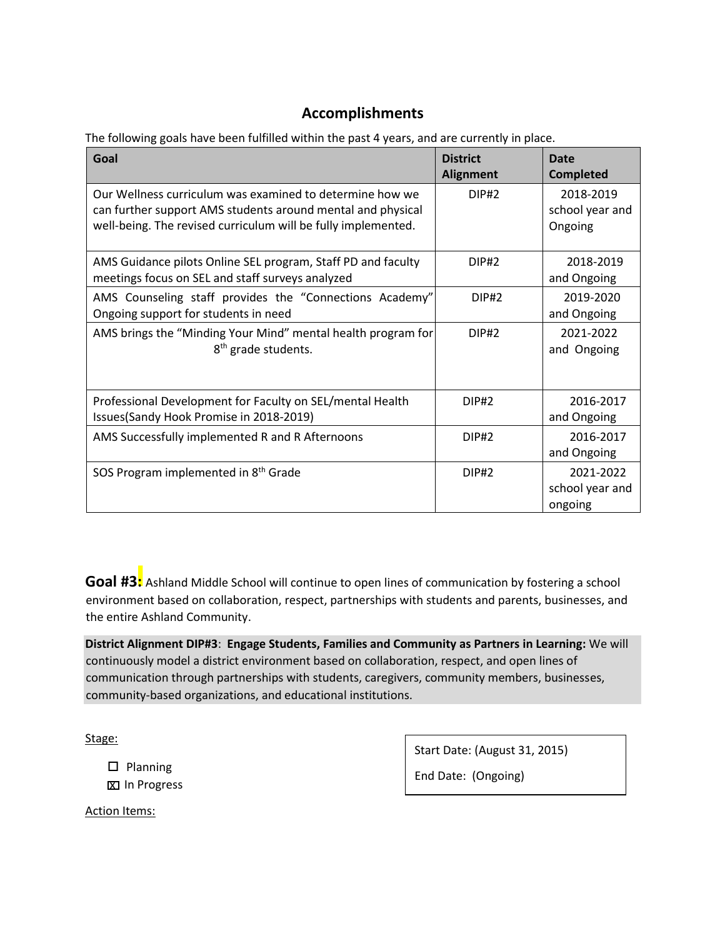# **Accomplishments**

The following goals have been fulfilled within the past 4 years, and are currently in place.

| Goal                                                                                                                                                                                     | <b>District</b><br><b>Alignment</b> | Date<br><b>Completed</b>                |
|------------------------------------------------------------------------------------------------------------------------------------------------------------------------------------------|-------------------------------------|-----------------------------------------|
| Our Wellness curriculum was examined to determine how we<br>can further support AMS students around mental and physical<br>well-being. The revised curriculum will be fully implemented. | DIP#2                               | 2018-2019<br>school year and<br>Ongoing |
| AMS Guidance pilots Online SEL program, Staff PD and faculty<br>meetings focus on SEL and staff surveys analyzed                                                                         | DIP#2                               | 2018-2019<br>and Ongoing                |
| AMS Counseling staff provides the "Connections Academy"<br>Ongoing support for students in need                                                                                          | DIP#2                               | 2019-2020<br>and Ongoing                |
| AMS brings the "Minding Your Mind" mental health program for<br>8 <sup>th</sup> grade students.                                                                                          | DIP#2                               | 2021-2022<br>and Ongoing                |
| Professional Development for Faculty on SEL/mental Health<br>Issues(Sandy Hook Promise in 2018-2019)                                                                                     | <b>DIP#2</b>                        | 2016-2017<br>and Ongoing                |
| AMS Successfully implemented R and R Afternoons                                                                                                                                          | <b>DIP#2</b>                        | 2016-2017<br>and Ongoing                |
| SOS Program implemented in 8 <sup>th</sup> Grade                                                                                                                                         | <b>DIP#2</b>                        | 2021-2022<br>school year and<br>ongoing |

Goal #3: Ashland Middle School will continue to open lines of communication by fostering a school environment based on collaboration, respect, partnerships with students and parents, businesses, and the entire Ashland Community.

**District Alignment DIP#3**: **Engage Students, Families and Community as Partners in Learning:** We will continuously model a district environment based on collaboration, respect, and open lines of communication through partnerships with students, caregivers, community members, businesses, community-based organizations, and educational institutions.

Stage:

 $\square$  Planning **X** In Progress Start Date: (August 31, 2015)

End Date: (Ongoing)

Action Items: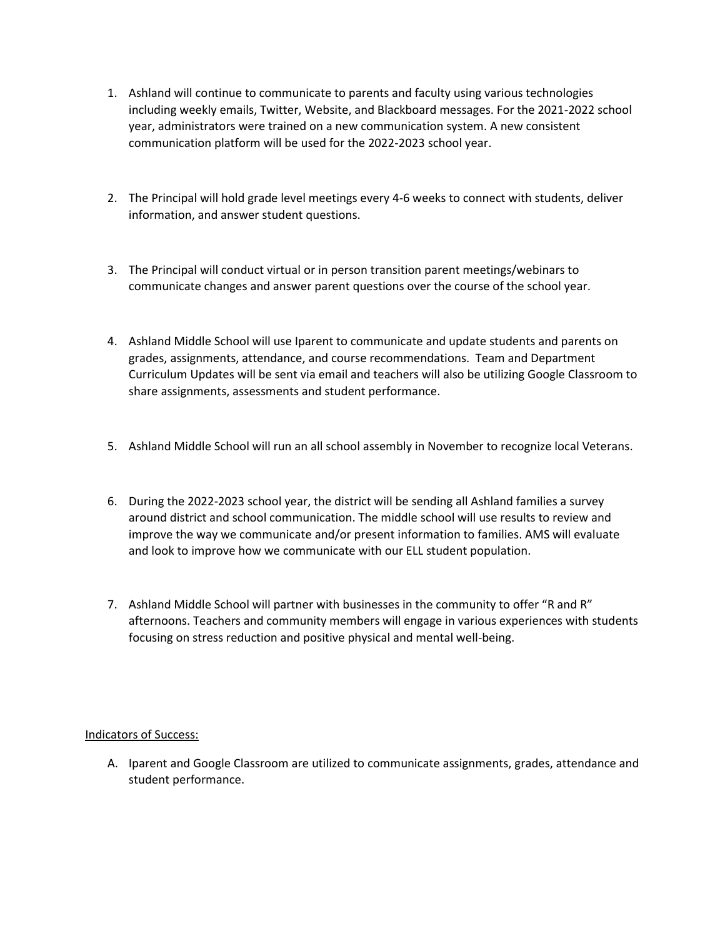- 1. Ashland will continue to communicate to parents and faculty using various technologies including weekly emails, Twitter, Website, and Blackboard messages. For the 2021-2022 school year, administrators were trained on a new communication system. A new consistent communication platform will be used for the 2022-2023 school year.
- 2. The Principal will hold grade level meetings every 4-6 weeks to connect with students, deliver information, and answer student questions.
- 3. The Principal will conduct virtual or in person transition parent meetings/webinars to communicate changes and answer parent questions over the course of the school year.
- 4. Ashland Middle School will use Iparent to communicate and update students and parents on grades, assignments, attendance, and course recommendations. Team and Department Curriculum Updates will be sent via email and teachers will also be utilizing Google Classroom to share assignments, assessments and student performance.
- 5. Ashland Middle School will run an all school assembly in November to recognize local Veterans.
- 6. During the 2022-2023 school year, the district will be sending all Ashland families a survey around district and school communication. The middle school will use results to review and improve the way we communicate and/or present information to families. AMS will evaluate and look to improve how we communicate with our ELL student population.
- 7. Ashland Middle School will partner with businesses in the community to offer "R and R" afternoons. Teachers and community members will engage in various experiences with students focusing on stress reduction and positive physical and mental well-being.

### Indicators of Success:

A. Iparent and Google Classroom are utilized to communicate assignments, grades, attendance and student performance.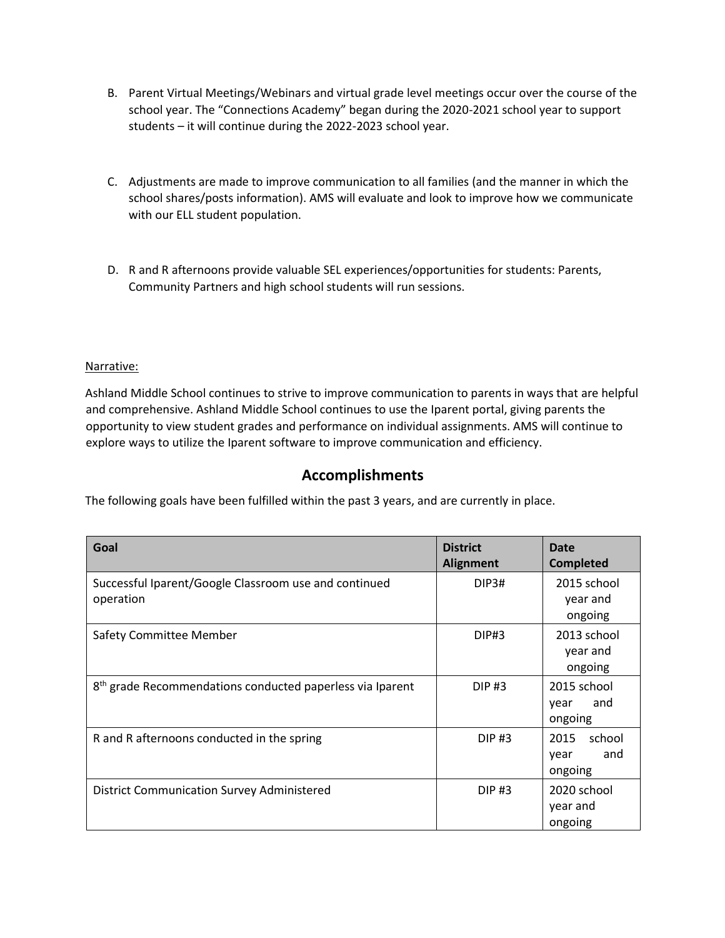- B. Parent Virtual Meetings/Webinars and virtual grade level meetings occur over the course of the school year. The "Connections Academy" began during the 2020-2021 school year to support students – it will continue during the 2022-2023 school year.
- C. Adjustments are made to improve communication to all families (and the manner in which the school shares/posts information). AMS will evaluate and look to improve how we communicate with our ELL student population.
- D. R and R afternoons provide valuable SEL experiences/opportunities for students: Parents, Community Partners and high school students will run sessions.

### Narrative:

Ashland Middle School continues to strive to improve communication to parents in ways that are helpful and comprehensive. Ashland Middle School continues to use the Iparent portal, giving parents the opportunity to view student grades and performance on individual assignments. AMS will continue to explore ways to utilize the Iparent software to improve communication and efficiency.

### **Accomplishments**

The following goals have been fulfilled within the past 3 years, and are currently in place.

| Goal                                                                  | <b>District</b><br><b>Alignment</b> | Date<br><b>Completed</b>                 |
|-----------------------------------------------------------------------|-------------------------------------|------------------------------------------|
| Successful Iparent/Google Classroom use and continued<br>operation    | DIP3#                               | 2015 school<br>year and<br>ongoing       |
| Safety Committee Member                                               | <b>DIP#3</b>                        | 2013 school<br>year and<br>ongoing       |
| 8 <sup>th</sup> grade Recommendations conducted paperless via Iparent | <b>DIP#3</b>                        | 2015 school<br>and<br>year<br>ongoing    |
| R and R afternoons conducted in the spring                            | $DIP$ #3                            | school<br>2015<br>and<br>year<br>ongoing |
| <b>District Communication Survey Administered</b>                     | $DIP$ #3                            | 2020 school<br>year and<br>ongoing       |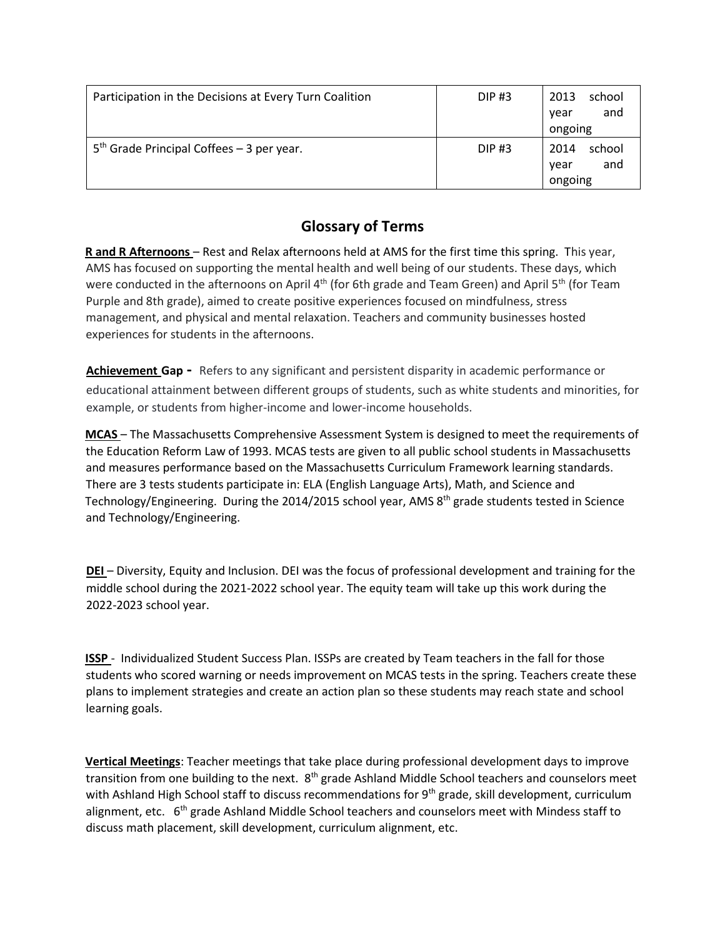| Participation in the Decisions at Every Turn Coalition | <b>DIP#3</b> | school<br>2013<br>and<br>year<br>ongoing |
|--------------------------------------------------------|--------------|------------------------------------------|
| $5th$ Grade Principal Coffees – 3 per year.            | <b>DIP#3</b> | school<br>2014<br>and<br>year<br>ongoing |

# **Glossary of Terms**

**R and R Afternoons** – Rest and Relax afternoons held at AMS for the first time this spring. This year, AMS has focused on supporting the mental health and well being of our students. These days, which were conducted in the afternoons on April 4<sup>th</sup> (for 6th grade and Team Green) and April 5<sup>th</sup> (for Team Purple and 8th grade), aimed to create positive experiences focused on mindfulness, stress management, and physical and mental relaxation. Teachers and community businesses hosted experiences for students in the afternoons.

**Achievement Gap -** Refers to any significant and persistent disparity in academic performance or educational attainment between different groups of students, such as white students and minorities, for example, or students from higher-income and lower-income households.

**MCAS** – The Massachusetts Comprehensive Assessment System is designed to meet the requirements of the Education Reform Law of 1993. MCAS tests are given to all public school students in Massachusetts and measures performance based on the Massachusetts Curriculum Framework learning standards. There are 3 tests students participate in: ELA (English Language Arts), Math, and Science and Technology/Engineering. During the 2014/2015 school year, AMS 8<sup>th</sup> grade students tested in Science and Technology/Engineering.

**DEI** – Diversity, Equity and Inclusion. DEI was the focus of professional development and training for the middle school during the 2021-2022 school year. The equity team will take up this work during the 2022-2023 school year.

**ISSP** - Individualized Student Success Plan. ISSPs are created by Team teachers in the fall for those students who scored warning or needs improvement on MCAS tests in the spring. Teachers create these plans to implement strategies and create an action plan so these students may reach state and school learning goals.

**Vertical Meetings**: Teacher meetings that take place during professional development days to improve transition from one building to the next. 8<sup>th</sup> grade Ashland Middle School teachers and counselors meet with Ashland High School staff to discuss recommendations for 9<sup>th</sup> grade, skill development, curriculum alignment, etc. 6<sup>th</sup> grade Ashland Middle School teachers and counselors meet with Mindess staff to discuss math placement, skill development, curriculum alignment, etc.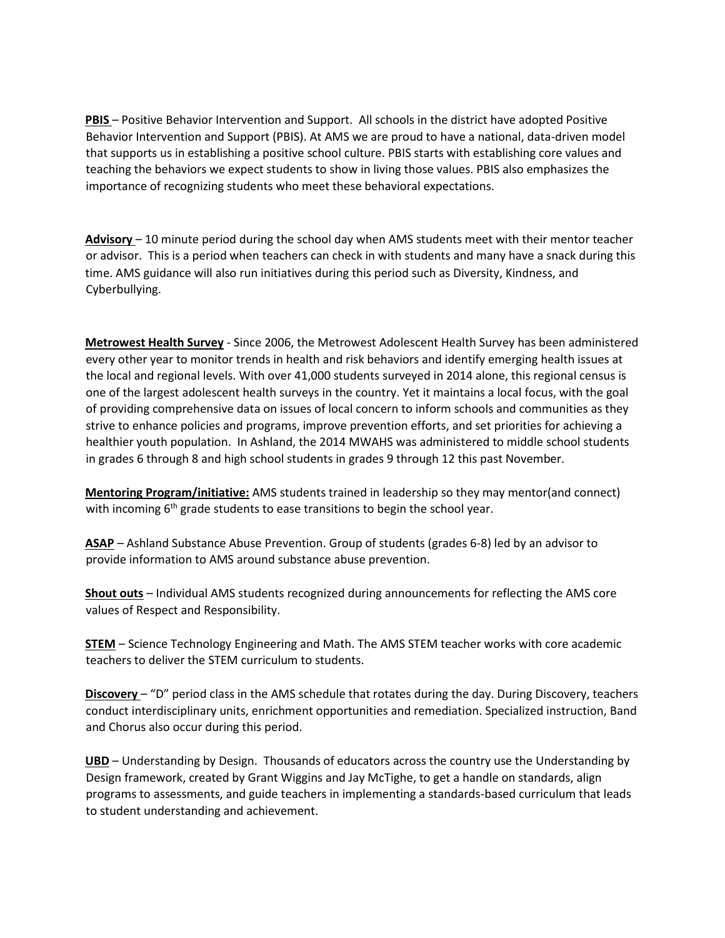**PBIS** – Positive Behavior Intervention and Support. All schools in the district have adopted Positive Behavior Intervention and Support (PBIS). At AMS we are proud to have a national, data-driven model that supports us in establishing a positive school culture. PBIS starts with establishing core values and teaching the behaviors we expect students to show in living those values. PBIS also emphasizes the importance of recognizing students who meet these behavioral expectations.

**Advisory** – 10 minute period during the school day when AMS students meet with their mentor teacher or advisor. This is a period when teachers can check in with students and many have a snack during this time. AMS guidance will also run initiatives during this period such as Diversity, Kindness, and Cyberbullying.

**Metrowest Health Survey** - Since 2006, the Metrowest Adolescent Health Survey has been administered every other year to monitor trends in health and risk behaviors and identify emerging health issues at the local and regional levels. With over 41,000 students surveyed in 2014 alone, this regional census is one of the largest adolescent health surveys in the country. Yet it maintains a local focus, with the goal of providing comprehensive data on issues of local concern to inform schools and communities as they strive to enhance policies and programs, improve prevention efforts, and set priorities for achieving a healthier youth population. In Ashland, the 2014 MWAHS was administered to middle school students in grades 6 through 8 and high school students in grades 9 through 12 this past November.

**Mentoring Program/initiative:** AMS students trained in leadership so they may mentor(and connect) with incoming 6<sup>th</sup> grade students to ease transitions to begin the school year.

**ASAP** – Ashland Substance Abuse Prevention. Group of students (grades 6-8) led by an advisor to provide information to AMS around substance abuse prevention.

**Shout outs** – Individual AMS students recognized during announcements for reflecting the AMS core values of Respect and Responsibility.

**STEM** – Science Technology Engineering and Math. The AMS STEM teacher works with core academic teachers to deliver the STEM curriculum to students.

**Discovery** – "D" period class in the AMS schedule that rotates during the day. During Discovery, teachers conduct interdisciplinary units, enrichment opportunities and remediation. Specialized instruction, Band and Chorus also occur during this period.

**UBD** – Understanding by Design. Thousands of educators across the country use the Understanding by Design framework, created by Grant Wiggins and Jay McTighe, to get a handle on standards, align programs to assessments, and guide teachers in implementing a standards-based curriculum that leads to student understanding and achievement.